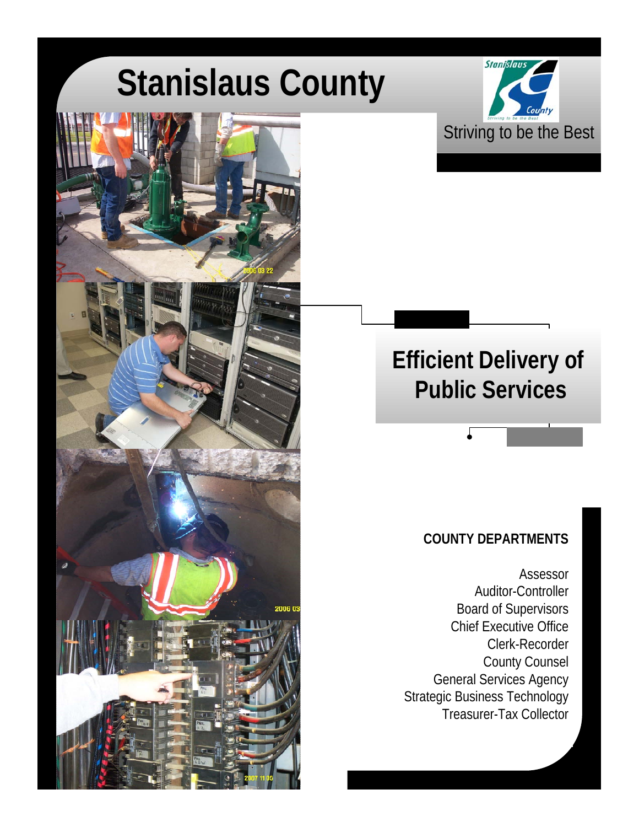# **Stanislaus County**

6 O





### **COUNTY DEPARTMENTS**

Assessor Auditor-Controller Board of Supervisors Chief Executive Office Clerk-Recorder County Counsel General Services Agency Strategic Business Technology Treasurer-Tax Collector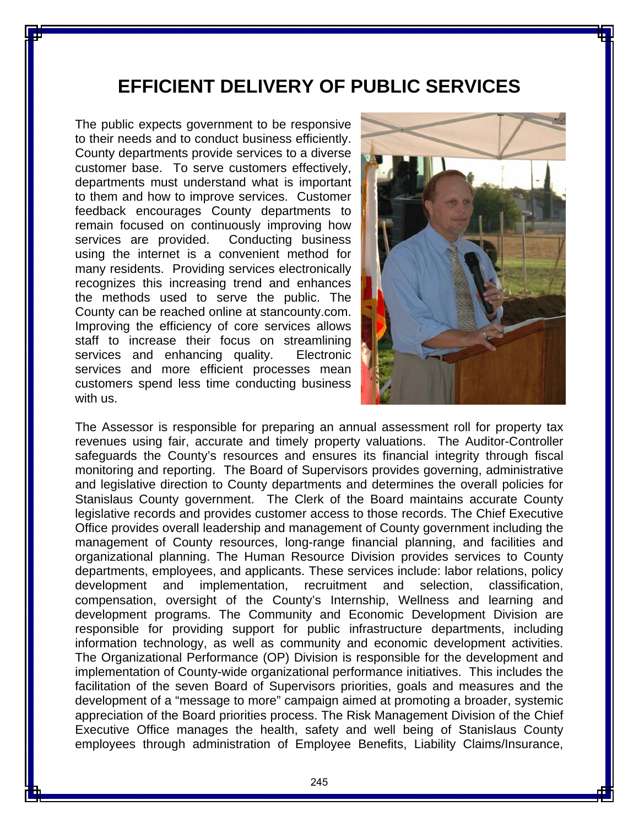## **EFFICIENT DELIVERY OF PUBLIC SERVICES**

The public expects government to be responsive to their needs and to conduct business efficiently. County departments provide services to a diverse customer base. To serve customers effectively, departments must understand what is important to them and how to improve services. Customer feedback encourages County departments to remain focused on continuously improving how services are provided. Conducting business using the internet is a convenient method for many residents. Providing services electronically recognizes this increasing trend and enhances the methods used to serve the public. The County can be reached online at stancounty.com. Improving the efficiency of core services allows staff to increase their focus on streamlining services and enhancing quality. Electronic services and more efficient processes mean customers spend less time conducting business with us.



The Assessor is responsible for preparing an annual assessment roll for property tax revenues using fair, accurate and timely property valuations. The Auditor-Controller safeguards the County's resources and ensures its financial integrity through fiscal monitoring and reporting. The Board of Supervisors provides governing, administrative and legislative direction to County departments and determines the overall policies for Stanislaus County government. The Clerk of the Board maintains accurate County legislative records and provides customer access to those records. The Chief Executive Office provides overall leadership and management of County government including the management of County resources, long-range financial planning, and facilities and organizational planning. The Human Resource Division provides services to County departments, employees, and applicants. These services include: labor relations, policy development and implementation, recruitment and selection, classification, compensation, oversight of the County's Internship, Wellness and learning and development programs. The Community and Economic Development Division are responsible for providing support for public infrastructure departments, including information technology, as well as community and economic development activities. The Organizational Performance (OP) Division is responsible for the development and implementation of County-wide organizational performance initiatives. This includes the facilitation of the seven Board of Supervisors priorities, goals and measures and the development of a "message to more" campaign aimed at promoting a broader, systemic appreciation of the Board priorities process. The Risk Management Division of the Chief Executive Office manages the health, safety and well being of Stanislaus County employees through administration of Employee Benefits, Liability Claims/Insurance,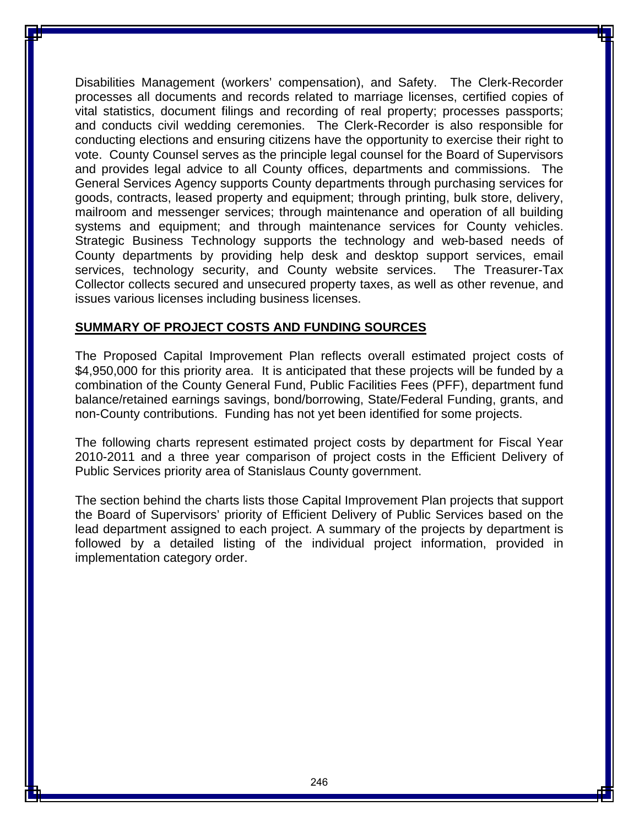Disabilities Management (workers' compensation), and Safety. The Clerk-Recorder processes all documents and records related to marriage licenses, certified copies of vital statistics, document filings and recording of real property; processes passports; and conducts civil wedding ceremonies. The Clerk-Recorder is also responsible for conducting elections and ensuring citizens have the opportunity to exercise their right to vote. County Counsel serves as the principle legal counsel for the Board of Supervisors and provides legal advice to all County offices, departments and commissions. The General Services Agency supports County departments through purchasing services for goods, contracts, leased property and equipment; through printing, bulk store, delivery, mailroom and messenger services; through maintenance and operation of all building systems and equipment; and through maintenance services for County vehicles. Strategic Business Technology supports the technology and web-based needs of County departments by providing help desk and desktop support services, email services, technology security, and County website services. The Treasurer-Tax Collector collects secured and unsecured property taxes, as well as other revenue, and issues various licenses including business licenses.

#### **SUMMARY OF PROJECT COSTS AND FUNDING SOURCES**

The Proposed Capital Improvement Plan reflects overall estimated project costs of \$4,950,000 for this priority area. It is anticipated that these projects will be funded by a combination of the County General Fund, Public Facilities Fees (PFF), department fund balance/retained earnings savings, bond/borrowing, State/Federal Funding, grants, and non-County contributions. Funding has not yet been identified for some projects.

The following charts represent estimated project costs by department for Fiscal Year 2010-2011 and a three year comparison of project costs in the Efficient Delivery of Public Services priority area of Stanislaus County government.

The section behind the charts lists those Capital Improvement Plan projects that support the Board of Supervisors' priority of Efficient Delivery of Public Services based on the lead department assigned to each project. A summary of the projects by department is followed by a detailed listing of the individual project information, provided in implementation category order.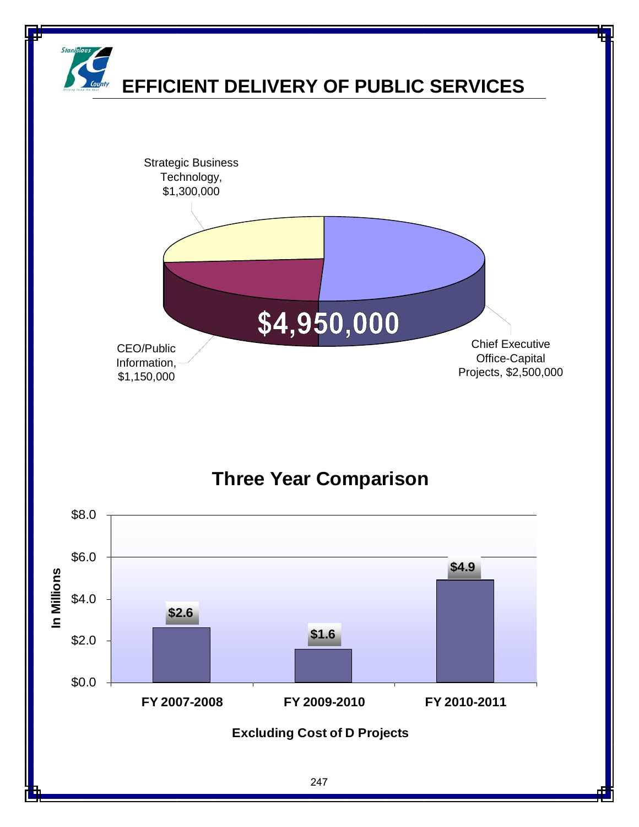

## **Three Year Comparison**

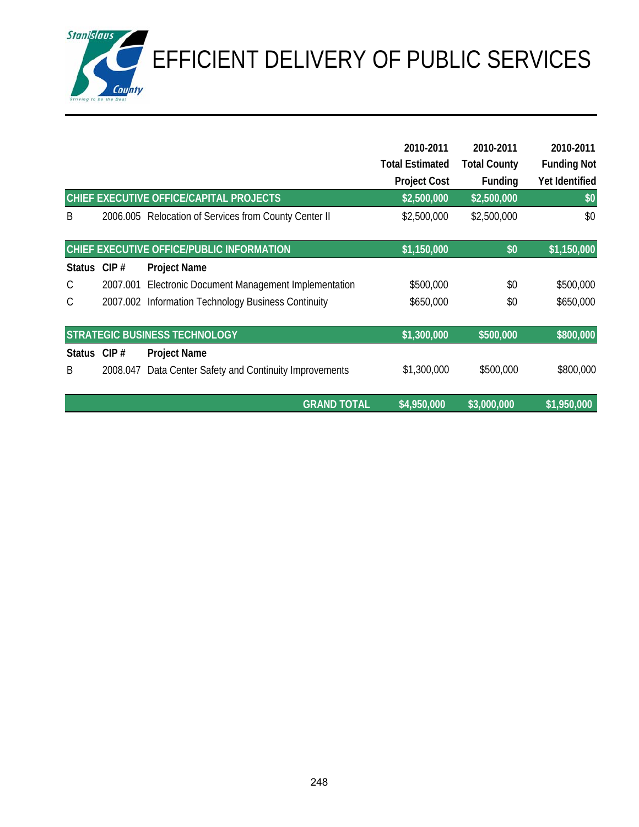EFFICIENT DELIVERY OF PUBLIC SERVICES

|               |          | CHIEF EXECUTIVE OFFICE/CAPITAL PROJECTS        | 2010-2011<br><b>Total Estimated</b><br><b>Project Cost</b><br>\$2,500,000 | 2010-2011<br><b>Total County</b><br><b>Funding</b><br>\$2,500,000 | 2010-2011<br><b>Funding Not</b><br>Yet Identified<br>\$0 |
|---------------|----------|------------------------------------------------|---------------------------------------------------------------------------|-------------------------------------------------------------------|----------------------------------------------------------|
| B             | 2006.005 | Relocation of Services from County Center II   | \$2,500,000                                                               | \$2,500,000                                                       | \$0                                                      |
|               |          | CHIEF EXECUTIVE OFFICE/PUBLIC INFORMATION      | \$1,150,000                                                               | \$0                                                               | \$1,150,000                                              |
| Status CIP #  |          | <b>Project Name</b>                            |                                                                           |                                                                   |                                                          |
| $\mathsf{C}$  | 2007.001 | Electronic Document Management Implementation  | \$500,000                                                                 | \$0                                                               | \$500,000                                                |
| $\mathcal{C}$ | 2007.002 | Information Technology Business Continuity     | \$650,000                                                                 | \$0                                                               | \$650,000                                                |
|               |          | <b>STRATEGIC BUSINESS TECHNOLOGY</b>           | \$1,300,000                                                               | \$500,000                                                         | \$800,000                                                |
| <b>Status</b> | CIP#     | <b>Project Name</b>                            |                                                                           |                                                                   |                                                          |
| B             | 2008.047 | Data Center Safety and Continuity Improvements | \$1,300,000                                                               | \$500,000                                                         | \$800,000                                                |
|               |          | <b>GRAND TOTAL</b>                             | \$4,950,000                                                               | \$3,000,000                                                       | \$1,950,000                                              |

**Stanislaus**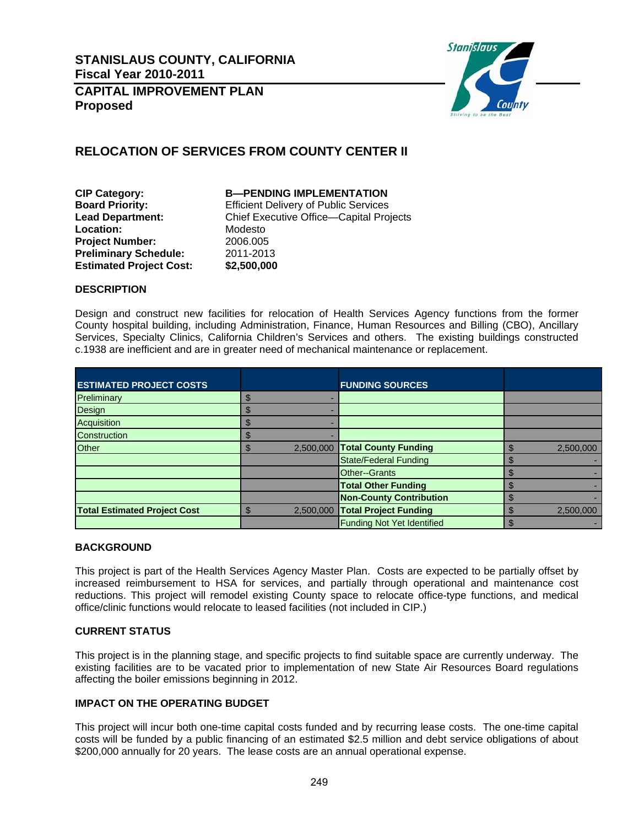

#### **RELOCATION OF SERVICES FROM COUNTY CENTER II**

**CIP Category: B—PENDING IMPLEMENTATION**  Location: Modesto **Project Number:** 2006.005<br> **Preliminary Schedule:** 2011-2013 **Preliminary Schedule: Estimated Project Cost: \$2,500,000**

**Board Priority: Efficient Delivery of Public Services Lead Department:** Chief Executive Office—Capital Projects

#### **DESCRIPTION**

Design and construct new facilities for relocation of Health Services Agency functions from the former County hospital building, including Administration, Finance, Human Resources and Billing (CBO), Ancillary Services, Specialty Clinics, California Children's Services and others. The existing buildings constructed c.1938 are inefficient and are in greater need of mechanical maintenance or replacement.

| <b>ESTIMATED PROJECT COSTS</b>      |              |           | <b>FUNDING SOURCES</b>            |           |
|-------------------------------------|--------------|-----------|-----------------------------------|-----------|
| Preliminary                         |              |           |                                   |           |
| Design                              |              |           |                                   |           |
| Acquisition                         |              |           |                                   |           |
| <b>Construction</b>                 |              |           |                                   |           |
| Other                               | m            |           | 2,500,000 Total County Funding    | 2,500,000 |
|                                     |              |           | <b>State/Federal Funding</b>      |           |
|                                     |              |           | Other--Grants                     |           |
|                                     |              |           | <b>Total Other Funding</b>        |           |
|                                     |              |           | <b>Non-County Contribution</b>    |           |
| <b>Total Estimated Project Cost</b> | $\mathbf{f}$ | 2,500,000 | <b>Total Project Funding</b>      | 2,500,000 |
|                                     |              |           | <b>Funding Not Yet Identified</b> |           |

#### **BACKGROUND**

This project is part of the Health Services Agency Master Plan. Costs are expected to be partially offset by increased reimbursement to HSA for services, and partially through operational and maintenance cost reductions. This project will remodel existing County space to relocate office-type functions, and medical office/clinic functions would relocate to leased facilities (not included in CIP.)

#### **CURRENT STATUS**

This project is in the planning stage, and specific projects to find suitable space are currently underway. The existing facilities are to be vacated prior to implementation of new State Air Resources Board regulations affecting the boiler emissions beginning in 2012.

#### **IMPACT ON THE OPERATING BUDGET**

This project will incur both one-time capital costs funded and by recurring lease costs. The one-time capital costs will be funded by a public financing of an estimated \$2.5 million and debt service obligations of about \$200,000 annually for 20 years. The lease costs are an annual operational expense.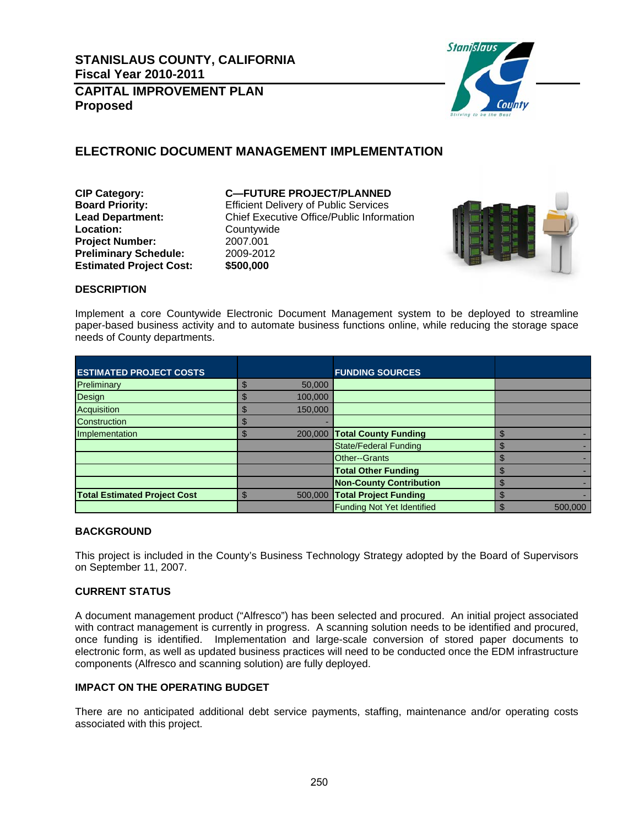

#### **ELECTRONIC DOCUMENT MANAGEMENT IMPLEMENTATION**

**Location:** Countywide<br> **Project Number:** 2007.001 **Project Number: Preliminary Schedule:** 2009-2012 **Estimated Project Cost: \$500,000** 

#### **CIP Category: C—FUTURE PROJECT/PLANNED**

**Board Priority: Efficient Delivery of Public Services Lead Department:** Chief Executive Office/Public Information



#### **DESCRIPTION**

Implement a core Countywide Electronic Document Management system to be deployed to streamline paper-based business activity and to automate business functions online, while reducing the storage space needs of County departments.

| <b>ESTIMATED PROJECT COSTS</b>      |         | <b>FUNDING SOURCES</b>            |         |
|-------------------------------------|---------|-----------------------------------|---------|
| Preliminary                         | 50,000  |                                   |         |
| Design                              | 100,000 |                                   |         |
| Acquisition                         | 150,000 |                                   |         |
| <b>Construction</b>                 |         |                                   |         |
| Implementation                      | 200,000 | <b>Total County Funding</b>       |         |
|                                     |         | <b>State/Federal Funding</b>      |         |
|                                     |         | Other--Grants                     |         |
|                                     |         | <b>Total Other Funding</b>        |         |
|                                     |         | <b>Non-County Contribution</b>    |         |
| <b>Total Estimated Project Cost</b> | 500,000 | <b>Total Project Funding</b>      |         |
|                                     |         | <b>Funding Not Yet Identified</b> | 500,000 |

#### **BACKGROUND**

This project is included in the County's Business Technology Strategy adopted by the Board of Supervisors on September 11, 2007.

#### **CURRENT STATUS**

A document management product ("Alfresco") has been selected and procured. An initial project associated with contract management is currently in progress. A scanning solution needs to be identified and procured, once funding is identified. Implementation and large-scale conversion of stored paper documents to electronic form, as well as updated business practices will need to be conducted once the EDM infrastructure components (Alfresco and scanning solution) are fully deployed.

#### **IMPACT ON THE OPERATING BUDGET**

There are no anticipated additional debt service payments, staffing, maintenance and/or operating costs associated with this project.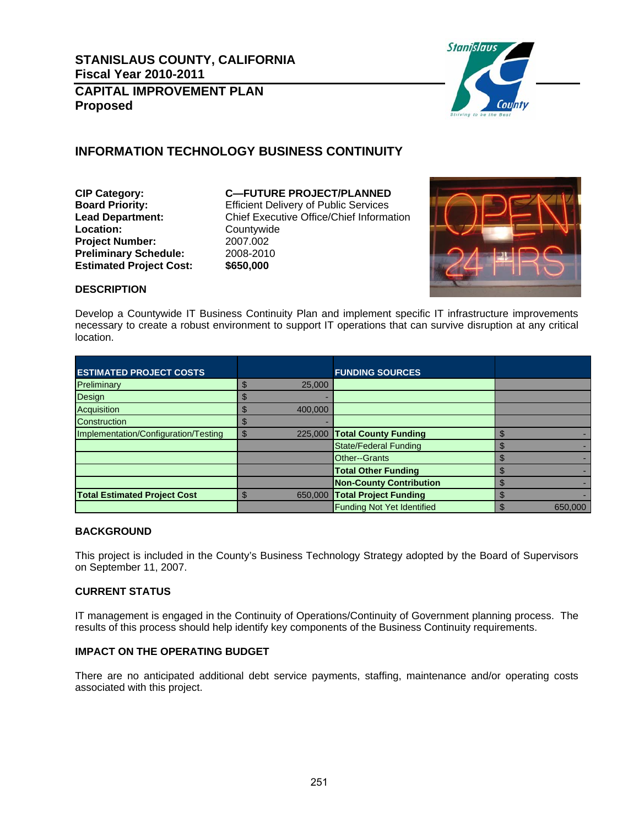

#### **INFORMATION TECHNOLOGY BUSINESS CONTINUITY**

**Location:** Countywide<br> **Project Number:** 2007.002 **Project Number:** 2007.002<br>**Preliminary Schedule:** 2008-2010 **Preliminary Schedule:** 2008-2010<br>Estimated Project Cost: \$650,000 **Estimated Project Cost:** 

**CIP Category: C—FUTURE PROJECT/PLANNED Board Priority:** Efficient Delivery of Public Services **Lead Department:** Chief Executive Office/Chief Information



#### **DESCRIPTION**

Develop a Countywide IT Business Continuity Plan and implement specific IT infrastructure improvements necessary to create a robust environment to support IT operations that can survive disruption at any critical location.

| <b>ESTIMATED PROJECT COSTS</b>       |         | <b>FUNDING SOURCES</b>            |         |
|--------------------------------------|---------|-----------------------------------|---------|
| Preliminary                          | 25,000  |                                   |         |
| Design                               |         |                                   |         |
| Acquisition                          | 400.000 |                                   |         |
| <b>Construction</b>                  |         |                                   |         |
| Implementation/Configuration/Testing | \$      | 225,000 Total County Funding      |         |
|                                      |         | State/Federal Funding             |         |
|                                      |         | Other--Grants                     |         |
|                                      |         | <b>Total Other Funding</b>        |         |
|                                      |         | <b>Non-County Contribution</b>    |         |
| <b>Total Estimated Project Cost</b>  | 650,000 | <b>Total Project Funding</b>      |         |
|                                      |         | <b>Funding Not Yet Identified</b> | 650,000 |

#### **BACKGROUND**

This project is included in the County's Business Technology Strategy adopted by the Board of Supervisors on September 11, 2007.

#### **CURRENT STATUS**

IT management is engaged in the Continuity of Operations/Continuity of Government planning process. The results of this process should help identify key components of the Business Continuity requirements.

#### **IMPACT ON THE OPERATING BUDGET**

There are no anticipated additional debt service payments, staffing, maintenance and/or operating costs associated with this project.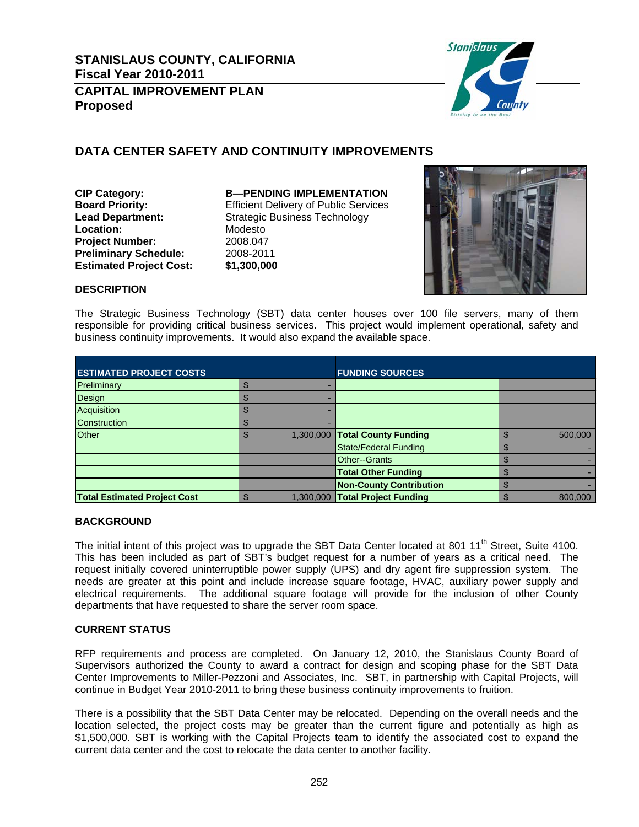

#### **DATA CENTER SAFETY AND CONTINUITY IMPROVEMENTS**

**Location:** Modesto<br> **Project Number:** 2008.047 **Project Number: Preliminary Schedule:** 2008-2011 **Estimated Project Cost: \$1,300,000**

**CIP Category: B—PENDING IMPLEMENTATION Board Priority:** Efficient Delivery of Public Services **Lead Department:** Strategic Business Technology



#### **DESCRIPTION**

The Strategic Business Technology (SBT) data center houses over 100 file servers, many of them responsible for providing critical business services. This project would implement operational, safety and business continuity improvements. It would also expand the available space.

| <b>ESTIMATED PROJECT COSTS</b>      |  | <b>FUNDING SOURCES</b>          |         |
|-------------------------------------|--|---------------------------------|---------|
| Preliminary                         |  |                                 |         |
| Design                              |  |                                 |         |
| Acquisition                         |  |                                 |         |
| Construction                        |  |                                 |         |
| <b>Other</b>                        |  | 1,300,000 Total County Funding  | 500.000 |
|                                     |  | <b>State/Federal Funding</b>    |         |
|                                     |  | Other--Grants                   |         |
|                                     |  | <b>Total Other Funding</b>      |         |
|                                     |  | <b>Non-County Contribution</b>  |         |
| <b>Total Estimated Project Cost</b> |  | 1,300,000 Total Project Funding | 800,000 |

#### **BACKGROUND**

The initial intent of this project was to upgrade the SBT Data Center located at 801 11<sup>th</sup> Street, Suite 4100. This has been included as part of SBT's budget request for a number of years as a critical need. The request initially covered uninterruptible power supply (UPS) and dry agent fire suppression system. The needs are greater at this point and include increase square footage, HVAC, auxiliary power supply and electrical requirements. The additional square footage will provide for the inclusion of other County departments that have requested to share the server room space.

#### **CURRENT STATUS**

RFP requirements and process are completed. On January 12, 2010, the Stanislaus County Board of Supervisors authorized the County to award a contract for design and scoping phase for the SBT Data Center Improvements to Miller-Pezzoni and Associates, Inc. SBT, in partnership with Capital Projects, will continue in Budget Year 2010-2011 to bring these business continuity improvements to fruition.

There is a possibility that the SBT Data Center may be relocated. Depending on the overall needs and the location selected, the project costs may be greater than the current figure and potentially as high as \$1,500,000. SBT is working with the Capital Projects team to identify the associated cost to expand the current data center and the cost to relocate the data center to another facility.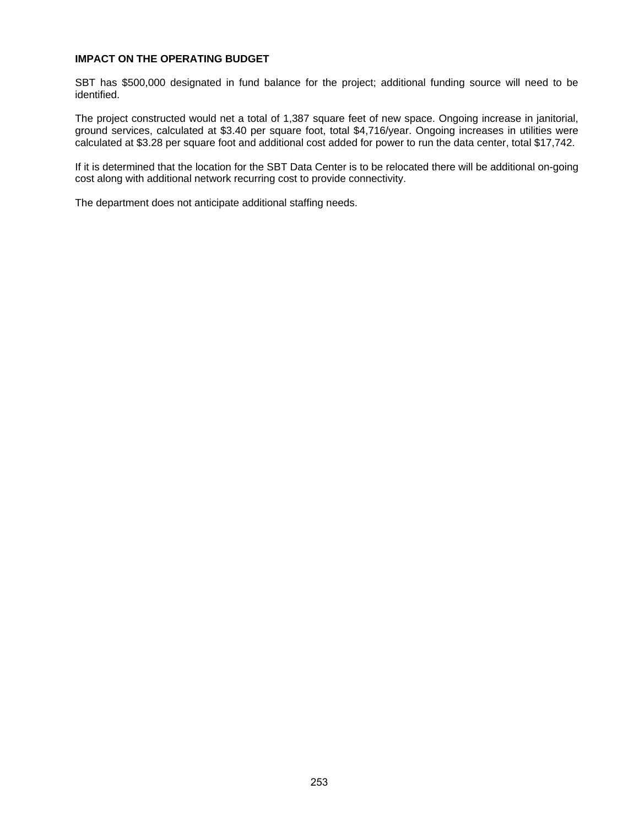#### **IMPACT ON THE OPERATING BUDGET**

SBT has \$500,000 designated in fund balance for the project; additional funding source will need to be identified.

The project constructed would net a total of 1,387 square feet of new space. Ongoing increase in janitorial, ground services, calculated at \$3.40 per square foot, total \$4,716/year. Ongoing increases in utilities were calculated at \$3.28 per square foot and additional cost added for power to run the data center, total \$17,742.

If it is determined that the location for the SBT Data Center is to be relocated there will be additional on-going cost along with additional network recurring cost to provide connectivity.

The department does not anticipate additional staffing needs.